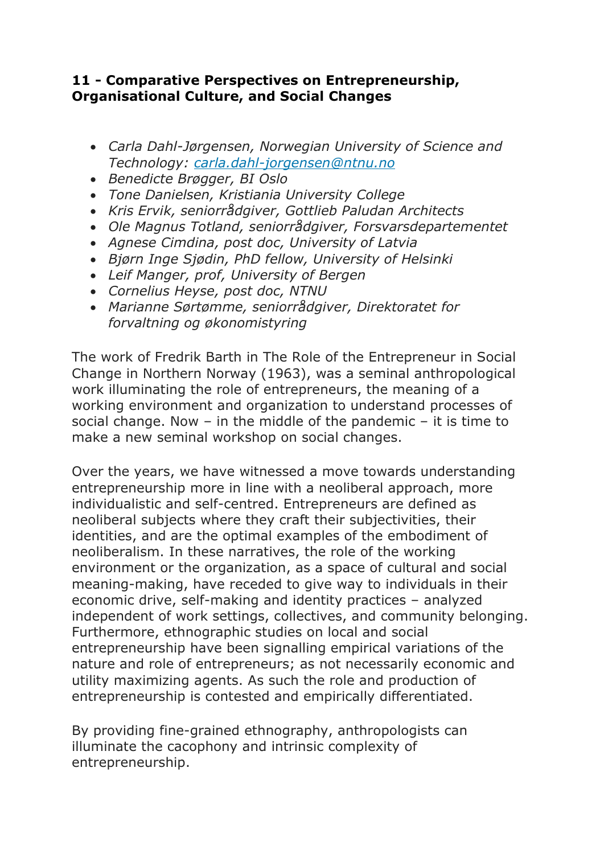## **11 - Comparative Perspectives on Entrepreneurship, Organisational Culture, and Social Changes**

- *Carla Dahl-Jørgensen, Norwegian University of Science and Technology: [carla.dahl-jorgensen@ntnu.no](mailto:carla.dahl-jorgensen@ntnu.no)*
- *Benedicte Brøgger, BI Oslo*
- *Tone Danielsen, Kristiania University College*
- *Kris Ervik, seniorrådgiver, Gottlieb Paludan Architects*
- *Ole Magnus Totland, seniorrådgiver, Forsvarsdepartementet*
- *Agnese Cimdina, post doc, University of Latvia*
- *Bjørn Inge Sjødin, PhD fellow, University of Helsinki*
- *Leif Manger, prof, University of Bergen*
- *Cornelius Heyse, post doc, NTNU*
- *Marianne Sørtømme, seniorrådgiver, Direktoratet for forvaltning og økonomistyring*

The work of Fredrik Barth in The Role of the Entrepreneur in Social Change in Northern Norway (1963), was a seminal anthropological work illuminating the role of entrepreneurs, the meaning of a working environment and organization to understand processes of social change. Now  $-$  in the middle of the pandemic  $-$  it is time to make a new seminal workshop on social changes.

Over the years, we have witnessed a move towards understanding entrepreneurship more in line with a neoliberal approach, more individualistic and self-centred. Entrepreneurs are defined as neoliberal subjects where they craft their subjectivities, their identities, and are the optimal examples of the embodiment of neoliberalism. In these narratives, the role of the working environment or the organization, as a space of cultural and social meaning-making, have receded to give way to individuals in their economic drive, self-making and identity practices – analyzed independent of work settings, collectives, and community belonging. Furthermore, ethnographic studies on local and social entrepreneurship have been signalling empirical variations of the nature and role of entrepreneurs; as not necessarily economic and utility maximizing agents. As such the role and production of entrepreneurship is contested and empirically differentiated.

By providing fine-grained ethnography, anthropologists can illuminate the cacophony and intrinsic complexity of entrepreneurship.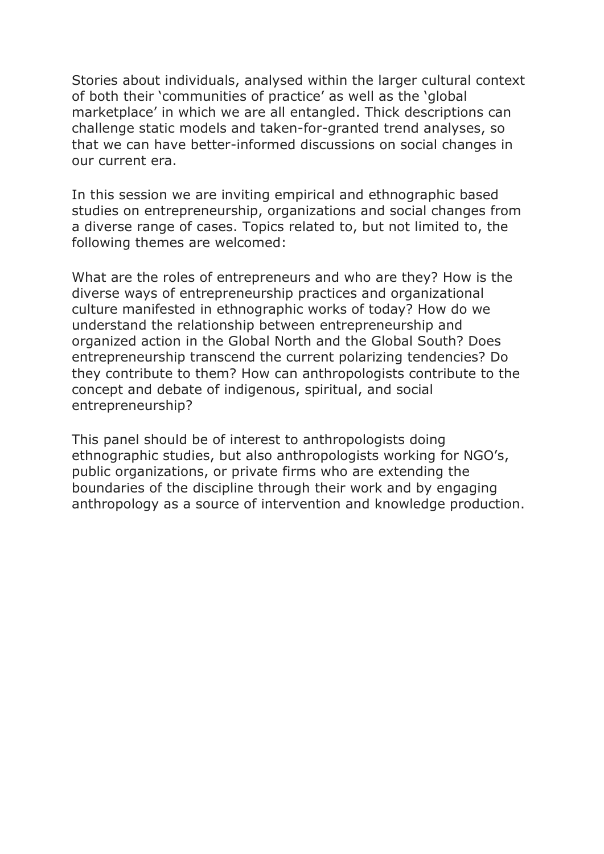Stories about individuals, analysed within the larger cultural context of both their 'communities of practice' as well as the 'global marketplace' in which we are all entangled. Thick descriptions can challenge static models and taken-for-granted trend analyses, so that we can have better-informed discussions on social changes in our current era.

In this session we are inviting empirical and ethnographic based studies on entrepreneurship, organizations and social changes from a diverse range of cases. Topics related to, but not limited to, the following themes are welcomed:

What are the roles of entrepreneurs and who are they? How is the diverse ways of entrepreneurship practices and organizational culture manifested in ethnographic works of today? How do we understand the relationship between entrepreneurship and organized action in the Global North and the Global South? Does entrepreneurship transcend the current polarizing tendencies? Do they contribute to them? How can anthropologists contribute to the concept and debate of indigenous, spiritual, and social entrepreneurship?

This panel should be of interest to anthropologists doing ethnographic studies, but also anthropologists working for NGO's, public organizations, or private firms who are extending the boundaries of the discipline through their work and by engaging anthropology as a source of intervention and knowledge production.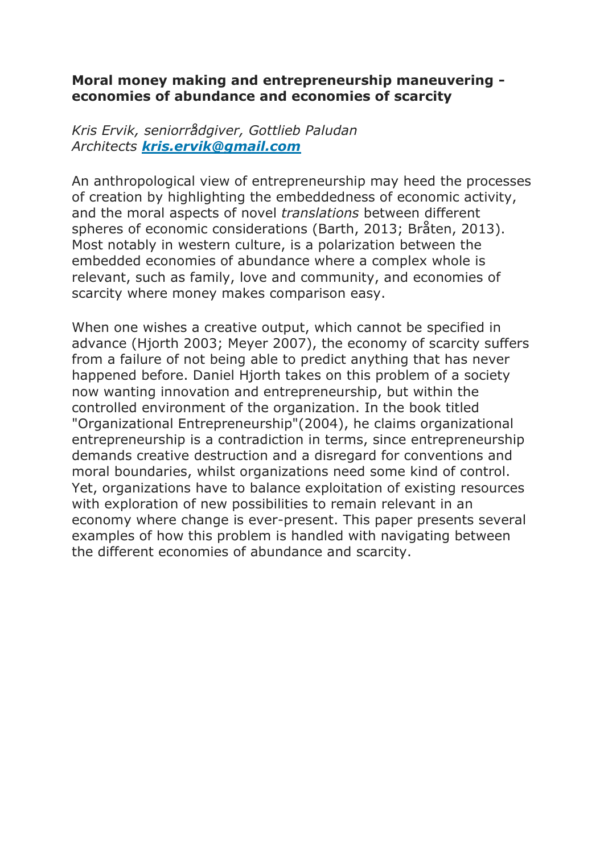## **Moral money making and entrepreneurship maneuvering economies of abundance and economies of scarcity**

*Kris Ervik, seniorrådgiver, Gottlieb Paludan Architects [kris.ervik@gmail.com](mailto:kris.ervik@gmail.com)*

An anthropological view of entrepreneurship may heed the processes of creation by highlighting the embeddedness of economic activity, and the moral aspects of novel *translations* between different spheres of economic considerations (Barth, 2013; Bråten, 2013). Most notably in western culture, is a polarization between the embedded economies of abundance where a complex whole is relevant, such as family, love and community, and economies of scarcity where money makes comparison easy.

When one wishes a creative output, which cannot be specified in advance (Hjorth 2003; Meyer 2007), the economy of scarcity suffers from a failure of not being able to predict anything that has never happened before. Daniel Hjorth takes on this problem of a society now wanting innovation and entrepreneurship, but within the controlled environment of the organization. In the book titled "Organizational Entrepreneurship"(2004), he claims organizational entrepreneurship is a contradiction in terms, since entrepreneurship demands creative destruction and a disregard for conventions and moral boundaries, whilst organizations need some kind of control. Yet, organizations have to balance exploitation of existing resources with exploration of new possibilities to remain relevant in an economy where change is ever-present. This paper presents several examples of how this problem is handled with navigating between the different economies of abundance and scarcity.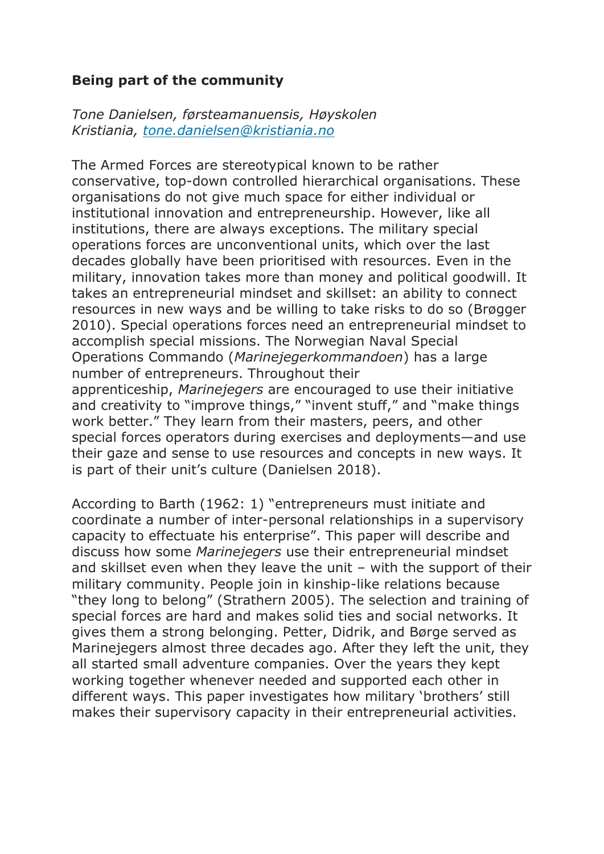# **Being part of the community**

*Tone Danielsen, førsteamanuensis, Høyskolen Kristiania, [tone.danielsen@kristiania.no](mailto:tone.danielsen@kristiania.no)*

The Armed Forces are stereotypical known to be rather conservative, top-down controlled hierarchical organisations. These organisations do not give much space for either individual or institutional innovation and entrepreneurship. However, like all institutions, there are always exceptions. The military special operations forces are unconventional units, which over the last decades globally have been prioritised with resources. Even in the military, innovation takes more than money and political goodwill. It takes an entrepreneurial mindset and skillset: an ability to connect resources in new ways and be willing to take risks to do so (Brøgger 2010). Special operations forces need an entrepreneurial mindset to accomplish special missions. The Norwegian Naval Special Operations Commando (*Marinejegerkommandoen*) has a large number of entrepreneurs. Throughout their apprenticeship, *Marinejegers* are encouraged to use their initiative and creativity to "improve things," "invent stuff," and "make things work better." They learn from their masters, peers, and other special forces operators during exercises and deployments—and use their gaze and sense to use resources and concepts in new ways. It is part of their unit's culture (Danielsen 2018).

According to Barth (1962: 1) "entrepreneurs must initiate and coordinate a number of inter-personal relationships in a supervisory capacity to effectuate his enterprise". This paper will describe and discuss how some *Marinejegers* use their entrepreneurial mindset and skillset even when they leave the unit – with the support of their military community. People join in kinship-like relations because "they long to belong" (Strathern 2005). The selection and training of special forces are hard and makes solid ties and social networks. It gives them a strong belonging. Petter, Didrik, and Børge served as Marinejegers almost three decades ago. After they left the unit, they all started small adventure companies. Over the years they kept working together whenever needed and supported each other in different ways. This paper investigates how military 'brothers' still makes their supervisory capacity in their entrepreneurial activities.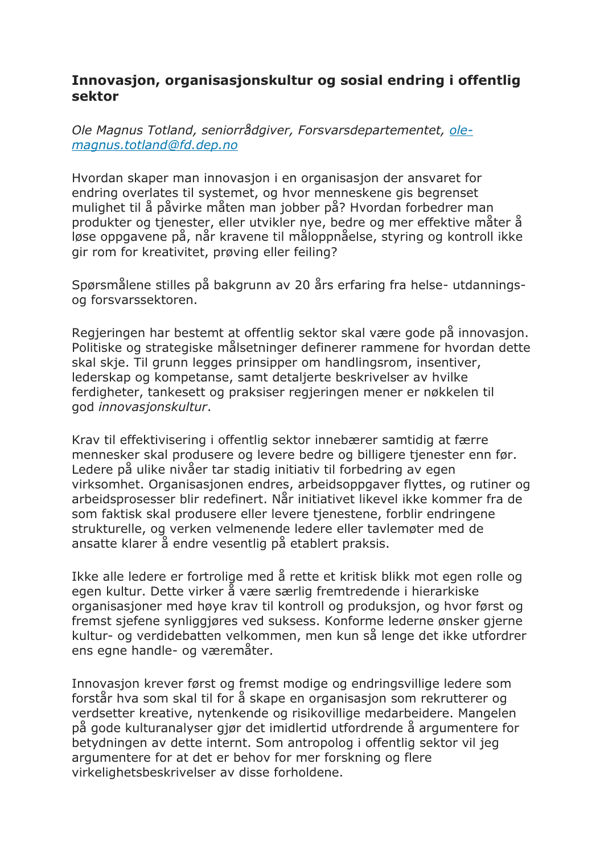## **Innovasjon, organisasjonskultur og sosial endring i offentlig sektor**

*Ole Magnus Totland, seniorrådgiver, Forsvarsdepartementet, [ole](mailto:ole-magnus.totland@fd.dep.no)[magnus.totland@fd.dep.no](mailto:ole-magnus.totland@fd.dep.no)*

Hvordan skaper man innovasjon i en organisasjon der ansvaret for endring overlates til systemet, og hvor menneskene gis begrenset mulighet til å påvirke måten man jobber på? Hvordan forbedrer man produkter og tjenester, eller utvikler nye, bedre og mer effektive måter å løse oppgavene på, når kravene til måloppnåelse, styring og kontroll ikke gir rom for kreativitet, prøving eller feiling?

Spørsmålene stilles på bakgrunn av 20 års erfaring fra helse- utdanningsog forsvarssektoren.

Regjeringen har bestemt at offentlig sektor skal være gode på innovasjon. Politiske og strategiske målsetninger definerer rammene for hvordan dette skal skie. Til grunn legges prinsipper om handlingsrom, insentiver, lederskap og kompetanse, samt detaljerte beskrivelser av hvilke ferdigheter, tankesett og praksiser regjeringen mener er nøkkelen til god *innovasjonskultur*.

Krav til effektivisering i offentlig sektor innebærer samtidig at færre mennesker skal produsere og levere bedre og billigere tjenester enn før. Ledere på ulike nivåer tar stadig initiativ til forbedring av egen virksomhet. Organisasjonen endres, arbeidsoppgaver flyttes, og rutiner og arbeidsprosesser blir redefinert. Når initiativet likevel ikke kommer fra de som faktisk skal produsere eller levere tjenestene, forblir endringene strukturelle, og verken velmenende ledere eller tavlemøter med de ansatte klarer å endre vesentlig på etablert praksis.

Ikke alle ledere er fortrolige med å rette et kritisk blikk mot egen rolle og egen kultur. Dette virker å være særlig fremtredende i hierarkiske organisasjoner med høye krav til kontroll og produksjon, og hvor først og fremst sjefene synliggjøres ved suksess. Konforme lederne ønsker gjerne kultur- og verdidebatten velkommen, men kun så lenge det ikke utfordrer ens egne handle- og væremåter.

Innovasjon krever først og fremst modige og endringsvillige ledere som forstår hva som skal til for å skape en organisasjon som rekrutterer og verdsetter kreative, nytenkende og risikovillige medarbeidere. Mangelen på gode kulturanalyser gjør det imidlertid utfordrende å argumentere for betydningen av dette internt. Som antropolog i offentlig sektor vil jeg argumentere for at det er behov for mer forskning og flere virkelighetsbeskrivelser av disse forholdene.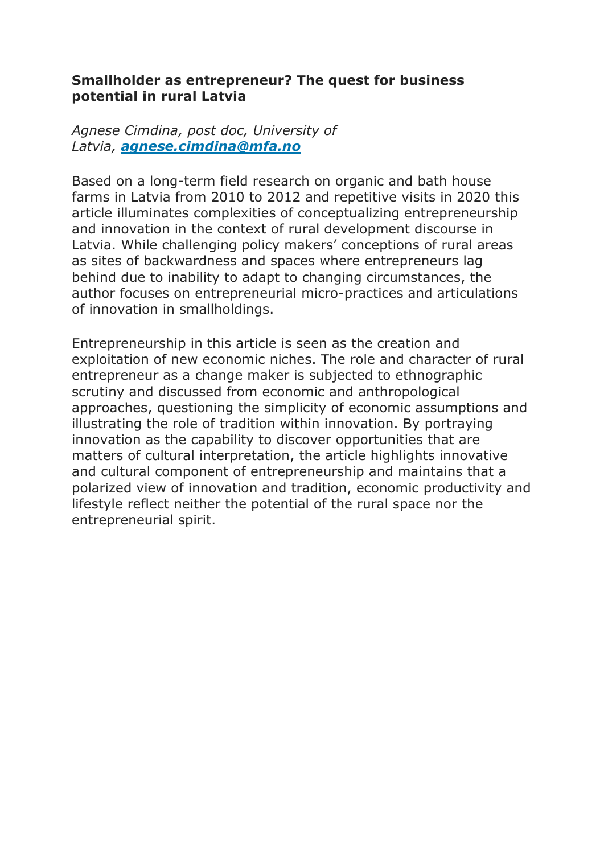## **Smallholder as entrepreneur? The quest for business potential in rural Latvia**

*Agnese Cimdina, post doc, University of Latvia, [agnese.cimdina@mfa.no](mailto:agnese.cimdina@mfa.no)*

Based on a long-term field research on organic and bath house farms in Latvia from 2010 to 2012 and repetitive visits in 2020 this article illuminates complexities of conceptualizing entrepreneurship and innovation in the context of rural development discourse in Latvia. While challenging policy makers' conceptions of rural areas as sites of backwardness and spaces where entrepreneurs lag behind due to inability to adapt to changing circumstances, the author focuses on entrepreneurial micro-practices and articulations of innovation in smallholdings.

Entrepreneurship in this article is seen as the creation and exploitation of new economic niches. The role and character of rural entrepreneur as a change maker is subjected to ethnographic scrutiny and discussed from economic and anthropological approaches, questioning the simplicity of economic assumptions and illustrating the role of tradition within innovation. By portraying innovation as the capability to discover opportunities that are matters of cultural interpretation, the article highlights innovative and cultural component of entrepreneurship and maintains that a polarized view of innovation and tradition, economic productivity and lifestyle reflect neither the potential of the rural space nor the entrepreneurial spirit.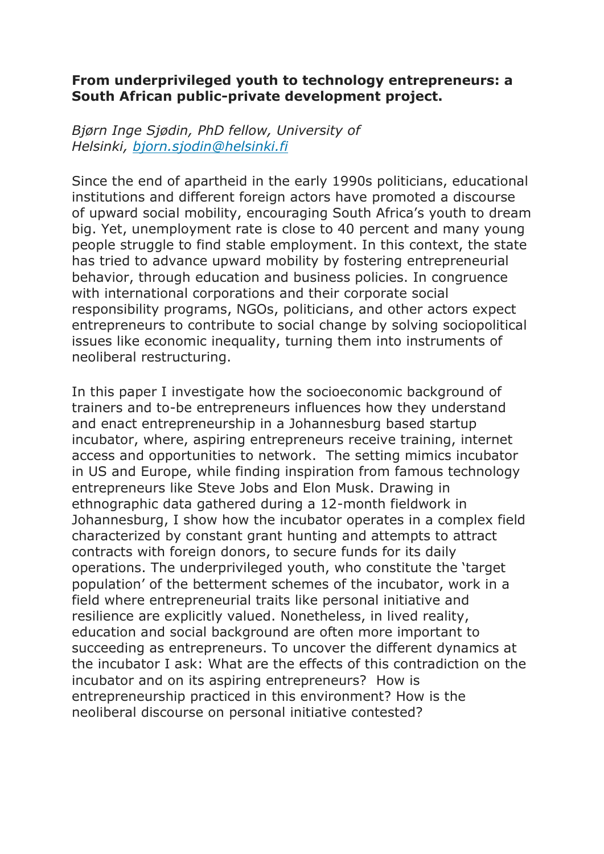## **From underprivileged youth to technology entrepreneurs: a South African public-private development project.**

*Bjørn Inge Sjødin, PhD fellow, University of Helsinki, [bjorn.sjodin@helsinki.fi](mailto:bjorn.sjodin@helsinki.fi)*

Since the end of apartheid in the early 1990s politicians, educational institutions and different foreign actors have promoted a discourse of upward social mobility, encouraging South Africa's youth to dream big. Yet, unemployment rate is close to 40 percent and many young people struggle to find stable employment. In this context, the state has tried to advance upward mobility by fostering entrepreneurial behavior, through education and business policies. In congruence with international corporations and their corporate social responsibility programs, NGOs, politicians, and other actors expect entrepreneurs to contribute to social change by solving sociopolitical issues like economic inequality, turning them into instruments of neoliberal restructuring.

In this paper I investigate how the socioeconomic background of trainers and to-be entrepreneurs influences how they understand and enact entrepreneurship in a Johannesburg based startup incubator, where, aspiring entrepreneurs receive training, internet access and opportunities to network. The setting mimics incubator in US and Europe, while finding inspiration from famous technology entrepreneurs like Steve Jobs and Elon Musk. Drawing in ethnographic data gathered during a 12-month fieldwork in Johannesburg, I show how the incubator operates in a complex field characterized by constant grant hunting and attempts to attract contracts with foreign donors, to secure funds for its daily operations. The underprivileged youth, who constitute the 'target population' of the betterment schemes of the incubator, work in a field where entrepreneurial traits like personal initiative and resilience are explicitly valued. Nonetheless, in lived reality, education and social background are often more important to succeeding as entrepreneurs. To uncover the different dynamics at the incubator I ask: What are the effects of this contradiction on the incubator and on its aspiring entrepreneurs? How is entrepreneurship practiced in this environment? How is the neoliberal discourse on personal initiative contested?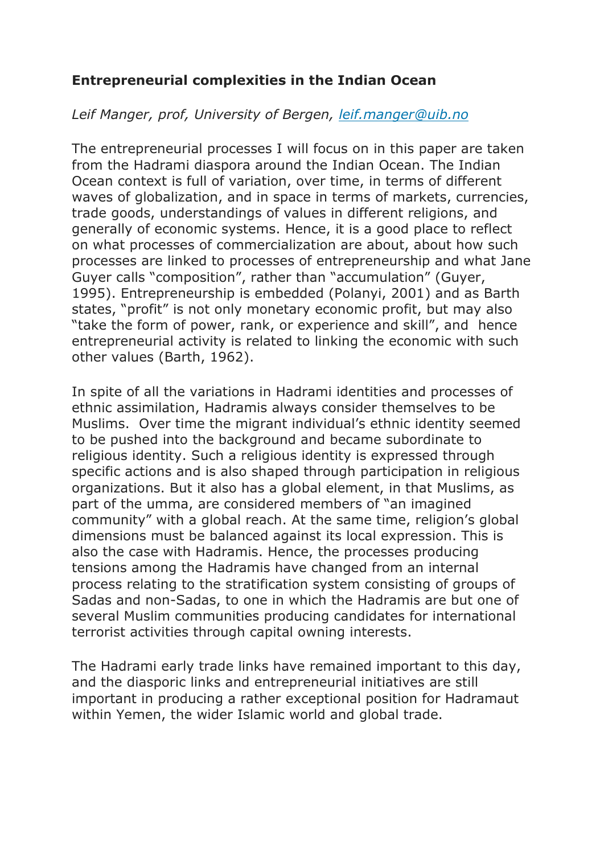# **Entrepreneurial complexities in the Indian Ocean**

## *Leif Manger, prof, University of Bergen, [leif.manger@uib.no](mailto:leif.manger@uib.no)*

The entrepreneurial processes I will focus on in this paper are taken from the Hadrami diaspora around the Indian Ocean. The Indian Ocean context is full of variation, over time, in terms of different waves of globalization, and in space in terms of markets, currencies, trade goods, understandings of values in different religions, and generally of economic systems. Hence, it is a good place to reflect on what processes of commercialization are about, about how such processes are linked to processes of entrepreneurship and what Jane Guyer calls "composition", rather than "accumulation" (Guyer, 1995). Entrepreneurship is embedded (Polanyi, 2001) and as Barth states, "profit" is not only monetary economic profit, but may also "take the form of power, rank, or experience and skill", and hence entrepreneurial activity is related to linking the economic with such other values (Barth, 1962).

In spite of all the variations in Hadrami identities and processes of ethnic assimilation, Hadramis always consider themselves to be Muslims. Over time the migrant individual's ethnic identity seemed to be pushed into the background and became subordinate to religious identity. Such a religious identity is expressed through specific actions and is also shaped through participation in religious organizations. But it also has a global element, in that Muslims, as part of the umma, are considered members of "an imagined community" with a global reach. At the same time, religion's global dimensions must be balanced against its local expression. This is also the case with Hadramis. Hence, the processes producing tensions among the Hadramis have changed from an internal process relating to the stratification system consisting of groups of Sadas and non-Sadas, to one in which the Hadramis are but one of several Muslim communities producing candidates for international terrorist activities through capital owning interests.

The Hadrami early trade links have remained important to this day, and the diasporic links and entrepreneurial initiatives are still important in producing a rather exceptional position for Hadramaut within Yemen, the wider Islamic world and global trade.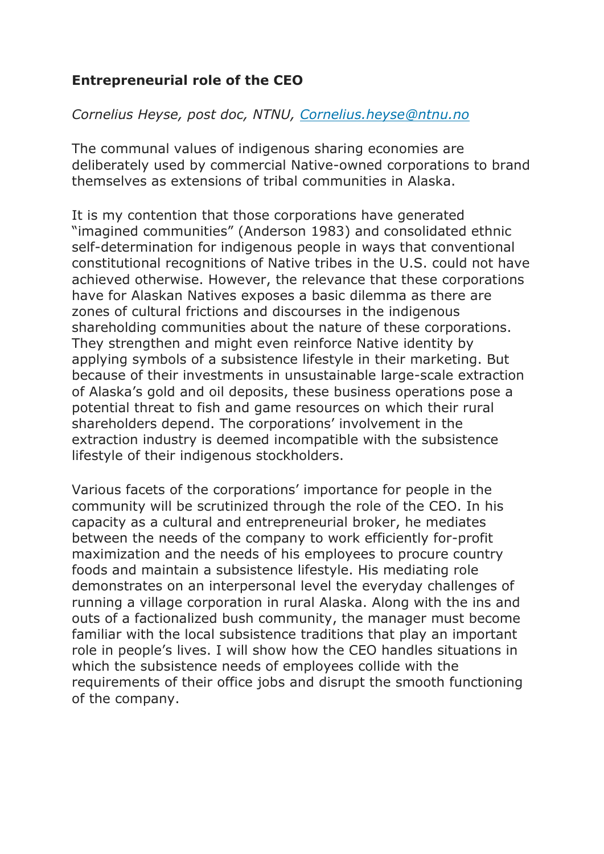# **Entrepreneurial role of the CEO**

#### *Cornelius Heyse, post doc, NTNU, [Cornelius.heyse@ntnu.no](mailto:Cornelius.heyse@ntnu.no)*

The communal values of indigenous sharing economies are deliberately used by commercial Native-owned corporations to brand themselves as extensions of tribal communities in Alaska.

It is my contention that those corporations have generated "imagined communities" (Anderson 1983) and consolidated ethnic self-determination for indigenous people in ways that conventional constitutional recognitions of Native tribes in the U.S. could not have achieved otherwise. However, the relevance that these corporations have for Alaskan Natives exposes a basic dilemma as there are zones of cultural frictions and discourses in the indigenous shareholding communities about the nature of these corporations. They strengthen and might even reinforce Native identity by applying symbols of a subsistence lifestyle in their marketing. But because of their investments in unsustainable large-scale extraction of Alaska's gold and oil deposits, these business operations pose a potential threat to fish and game resources on which their rural shareholders depend. The corporations' involvement in the extraction industry is deemed incompatible with the subsistence lifestyle of their indigenous stockholders.

Various facets of the corporations' importance for people in the community will be scrutinized through the role of the CEO. In his capacity as a cultural and entrepreneurial broker, he mediates between the needs of the company to work efficiently for-profit maximization and the needs of his employees to procure country foods and maintain a subsistence lifestyle. His mediating role demonstrates on an interpersonal level the everyday challenges of running a village corporation in rural Alaska. Along with the ins and outs of a factionalized bush community, the manager must become familiar with the local subsistence traditions that play an important role in people's lives. I will show how the CEO handles situations in which the subsistence needs of employees collide with the requirements of their office jobs and disrupt the smooth functioning of the company.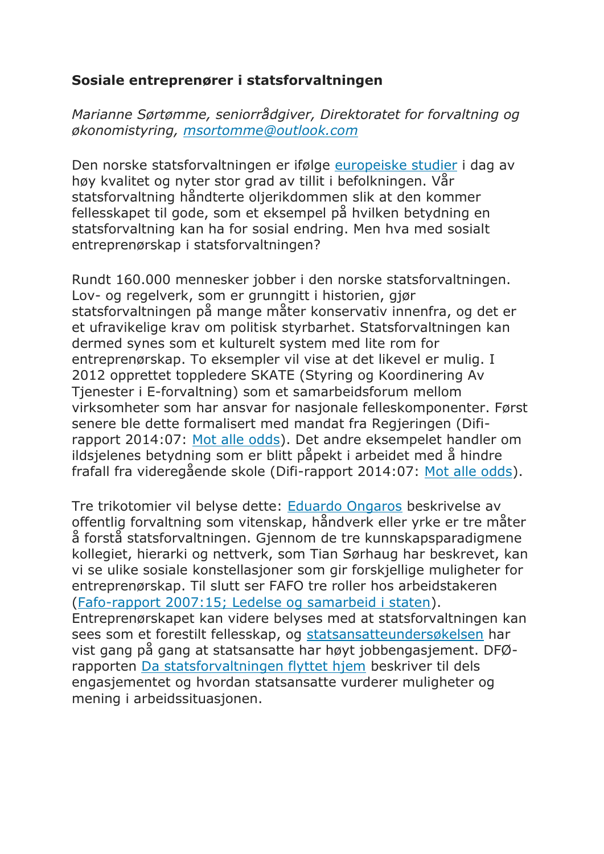# **Sosiale entreprenører i statsforvaltningen**

*Marianne Sørtømme, seniorrådgiver, Direktoratet for forvaltning og økonomistyring, [msortomme@outlook.com](mailto:msortomme@outlook.com)*

Den norske statsforvaltningen er ifølge [europeiske studier](https://www.norway.no/no/missions/oecd-unesco/norge-oecd-unesco/nyheter-arr/nyheter/government-at-a-glance-2019/) i dag av høy kvalitet og nyter stor grad av tillit i befolkningen. Vår statsforvaltning håndterte oljerikdommen slik at den kommer fellesskapet til gode, som et eksempel på hvilken betydning en statsforvaltning kan ha for sosial endring. Men hva med sosialt entreprenørskap i statsforvaltningen?

Rundt 160.000 mennesker jobber i den norske statsforvaltningen. Lov- og regelverk, som er grunngitt i historien, gjør statsforvaltningen på mange måter konservativ innenfra, og det er et ufravikelige krav om politisk styrbarhet. Statsforvaltningen kan dermed synes som et kulturelt system med lite rom for entreprenørskap. To eksempler vil vise at det likevel er mulig. I 2012 opprettet toppledere SKATE (Styring og Koordinering Av Tjenester i E-forvaltning) som et samarbeidsforum mellom virksomheter som har ansvar for nasjonale felleskomponenter. Først senere ble dette formalisert med mandat fra Regjeringen (Difirapport 2014:07: [Mot alle odds\)](https://dfo.no/filer/Fagomr%C3%A5der/Rapporter/Rapporter-Difi/mot-alle-odds.-veier-til-samordning-i-norsk-forvaltning-difi-rapport-2014-7_0.pdf). Det andre eksempelet handler om ildsjelenes betydning som er blitt påpekt i arbeidet med å hindre frafall fra videregående skole (Difi-rapport 2014:07: [Mot alle odds\)](https://dfo.no/filer/Fagomr%C3%A5der/Rapporter/Rapporter-Difi/mot-alle-odds.-veier-til-samordning-i-norsk-forvaltning-difi-rapport-2014-7_0.pdf).

Tre trikotomier vil belyse dette: [Eduardo Ongaros](https://www.e-elgar.com/shop/gbp/philosophy-and-public-administration-9781839100338.html) beskrivelse av offentlig forvaltning som vitenskap, håndverk eller yrke er tre måter å forstå statsforvaltningen. Gjennom de tre kunnskapsparadigmene kollegiet, hierarki og nettverk, som Tian Sørhaug har beskrevet, kan vi se ulike sosiale konstellasjoner som gir forskjellige muligheter for entreprenørskap. Til slutt ser FAFO tre roller hos arbeidstakeren [\(Fafo-rapport 2007:15; Ledelse og samarbeid i staten\)](https://www.fafo.no/zoo-publikasjoner/fafo-rapporter/item/ledelse-og-samarbeid-i-staten). Entreprenørskapet kan videre belyses med at statsforvaltningen kan sees som et forestilt fellesskap, og [statsansatteundersøkelsen](https://dfo.no/rapporter-og-statistikk/undersokelser/statsansatteundersokelsen-2018) har vist gang på gang at statsansatte har høyt jobbengasjement. DFØrapporten [Da statsforvaltningen flyttet hjem](https://arbeidsgiver.difi.no/sites/default/files/da_statsforvaltningen_flyttet_hjem.pdf) beskriver til dels engasjementet og hvordan statsansatte vurderer muligheter og mening i arbeidssituasjonen.